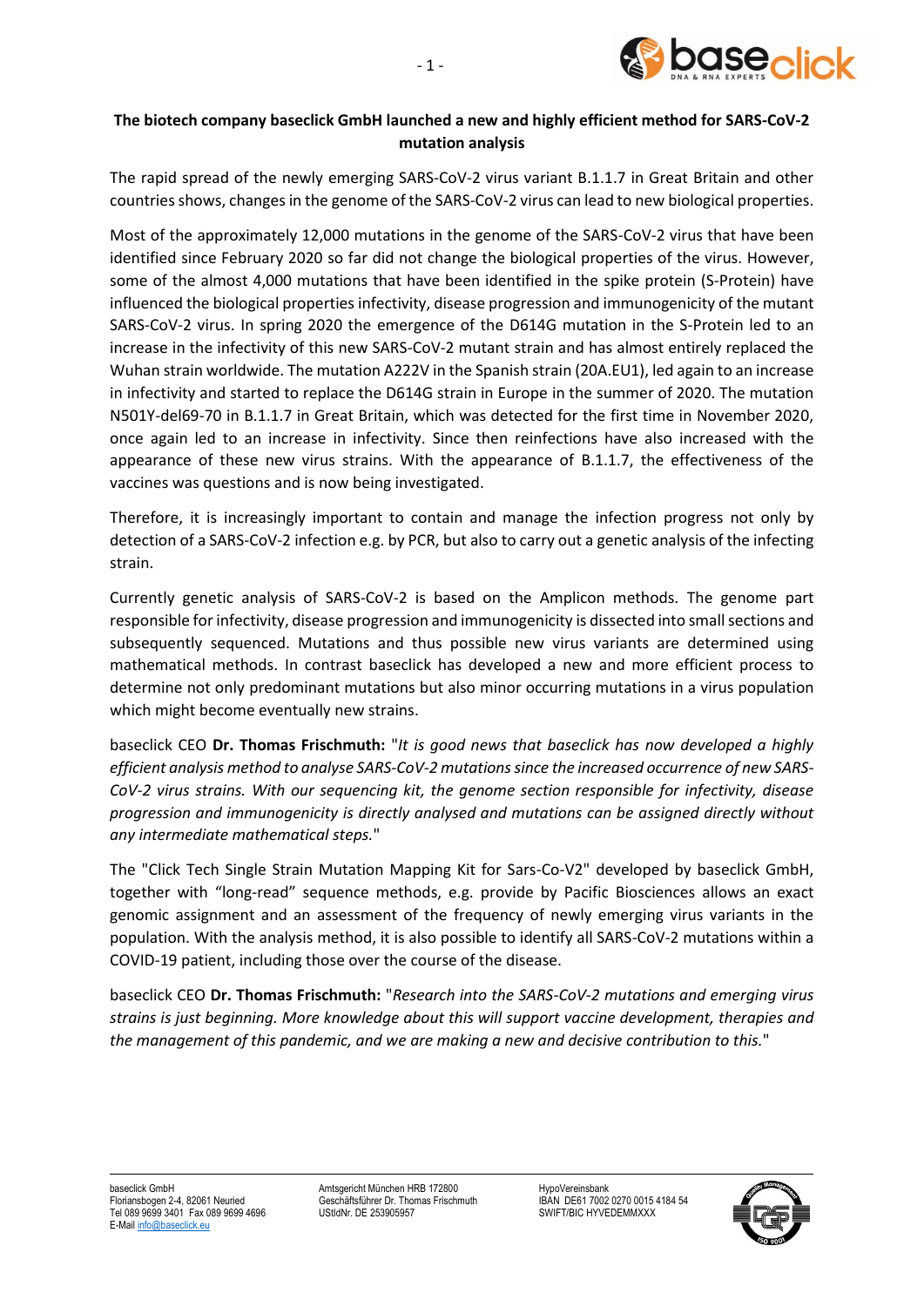

## **The biotech company baseclick GmbH launched a new and highly efficient method for SARS-CoV-2 mutation analysis**

The rapid spread of the newly emerging SARS-CoV-2 virus variant B.1.1.7 in Great Britain and other countries shows, changes in the genome of the SARS-CoV-2 virus can lead to new biological properties.

Most of the approximately 12,000 mutations in the genome of the SARS-CoV-2 virus that have been identified since February 2020 so far did not change the biological properties of the virus. However, some of the almost 4,000 mutations that have been identified in the spike protein (S-Protein) have influenced the biological properties infectivity, disease progression and immunogenicity of the mutant SARS-CoV-2 virus. In spring 2020 the emergence of the D614G mutation in the S-Protein led to an increase in the infectivity of this new SARS-CoV-2 mutant strain and has almost entirely replaced the Wuhan strain worldwide. The mutation A222V in the Spanish strain (20A.EU1), led again to an increase in infectivity and started to replace the D614G strain in Europe in the summer of 2020. The mutation N501Y-del69-70 in B.1.1.7 in Great Britain, which was detected for the first time in November 2020, once again led to an increase in infectivity. Since then reinfections have also increased with the appearance of these new virus strains. With the appearance of B.1.1.7, the effectiveness of the vaccines was questions and is now being investigated.

Therefore, it is increasingly important to contain and manage the infection progress not only by detection of a SARS-CoV-2 infection e.g. by PCR, but also to carry out a genetic analysis of the infecting strain.

Currently genetic analysis of SARS-CoV-2 is based on the Amplicon methods. The genome part responsible for infectivity, disease progression and immunogenicity is dissected into small sections and subsequently sequenced. Mutations and thus possible new virus variants are determined using mathematical methods. In contrast baseclick has developed a new and more efficient process to determine not only predominant mutations but also minor occurring mutations in a virus population which might become eventually new strains.

baseclick CEO **Dr. Thomas Frischmuth:** "*It is good news that baseclick has now developed a highly efficient analysis method to analyse SARS-CoV-2 mutations since the increased occurrence of new SARS-CoV-2 virus strains. With our sequencing kit, the genome section responsible for infectivity, disease progression and immunogenicity is directly analysed and mutations can be assigned directly without any intermediate mathematical steps.*"

The "Click Tech Single Strain Mutation Mapping Kit for Sars-Co-V2" developed by baseclick GmbH, together with "long-read" sequence methods, e.g. provide by Pacific Biosciences allows an exact genomic assignment and an assessment of the frequency of newly emerging virus variants in the population. With the analysis method, it is also possible to identify all SARS-CoV-2 mutations within a COVID-19 patient, including those over the course of the disease.

baseclick CEO **Dr. Thomas Frischmuth:** "*Research into the SARS-CoV-2 mutations and emerging virus strains is just beginning. More knowledge about this will support vaccine development, therapies and the management of this pandemic, and we are making a new and decisive contribution to this.*"